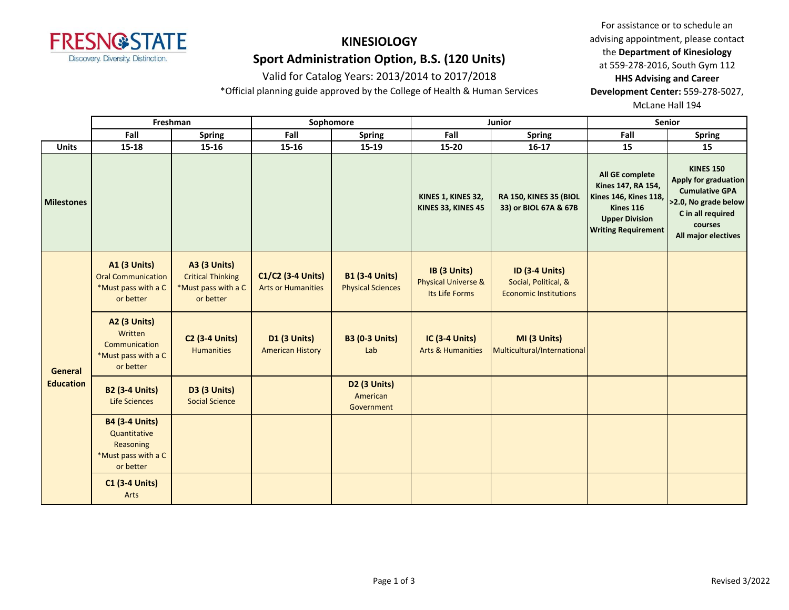

### Valid for Catalog Years: 2013/2014 to 2017/2018

\*Official planning guide approved by the College of Health & Human Services

For assistance or to schedule an advising appointment, please contact the **Department of Kinesiology** at 559-278-2016, South Gym 112 **HHS Advising and Career Development Center:** 559-278-5027,

|                                    | Freshman                                                                               |                                                                                     | Sophomore                                      |                                                    | Junior                                                |                                                                               | Senior                                                                                                                                                  |                                                                                                                                                  |
|------------------------------------|----------------------------------------------------------------------------------------|-------------------------------------------------------------------------------------|------------------------------------------------|----------------------------------------------------|-------------------------------------------------------|-------------------------------------------------------------------------------|---------------------------------------------------------------------------------------------------------------------------------------------------------|--------------------------------------------------------------------------------------------------------------------------------------------------|
|                                    | Fall                                                                                   | <b>Spring</b>                                                                       | Fall                                           | <b>Spring</b>                                      | Fall                                                  | <b>Spring</b>                                                                 | Fall                                                                                                                                                    | <b>Spring</b>                                                                                                                                    |
| <b>Units</b>                       | $15 - 18$                                                                              | $15 - 16$                                                                           | $15 - 16$                                      | 15-19                                              | $15 - 20$                                             | $16 - 17$                                                                     | 15                                                                                                                                                      | 15                                                                                                                                               |
| <b>Milestones</b>                  |                                                                                        |                                                                                     |                                                |                                                    | KINES 1, KINES 32,<br>KINES 33, KINES 45              | RA 150, KINES 35 (BIOL<br>33) or BIOL 67A & 67B                               | <b>All GE complete</b><br>Kines 147, RA 154,<br><b>Kines 146, Kines 118,</b><br><b>Kines 116</b><br><b>Upper Division</b><br><b>Writing Requirement</b> | <b>KINES 150</b><br>Apply for graduation<br><b>Cumulative GPA</b><br>>2.0, No grade below<br>C in all required<br>courses<br>All major electives |
| <b>General</b><br><b>Education</b> | <b>A1 (3 Units)</b><br><b>Oral Communication</b><br>*Must pass with a C<br>or better   | <b>A3 (3 Units)</b><br><b>Critical Thinking</b><br>*Must pass with a C<br>or better | C1/C2 (3-4 Units)<br><b>Arts or Humanities</b> | <b>B1 (3-4 Units)</b><br><b>Physical Sciences</b>  | IB (3 Units)<br>Physical Universe &<br>Its Life Forms | <b>ID (3-4 Units)</b><br>Social, Political, &<br><b>Economic Institutions</b> |                                                                                                                                                         |                                                                                                                                                  |
|                                    | <b>A2 (3 Units)</b><br>Written<br>Communication<br>*Must pass with a C<br>or better    | <b>C2 (3-4 Units)</b><br><b>Humanities</b>                                          | <b>D1 (3 Units)</b><br><b>American History</b> | <b>B3 (0-3 Units)</b><br>Lab                       | <b>IC (3-4 Units)</b><br><b>Arts &amp; Humanities</b> | MI (3 Units)<br>Multicultural/International                                   |                                                                                                                                                         |                                                                                                                                                  |
|                                    | <b>B2 (3-4 Units)</b><br>Life Sciences                                                 | <b>D3 (3 Units)</b><br><b>Social Science</b>                                        |                                                | D <sub>2</sub> (3 Units)<br>American<br>Government |                                                       |                                                                               |                                                                                                                                                         |                                                                                                                                                  |
|                                    | <b>B4 (3-4 Units)</b><br>Quantitative<br>Reasoning<br>*Must pass with a C<br>or better |                                                                                     |                                                |                                                    |                                                       |                                                                               |                                                                                                                                                         |                                                                                                                                                  |
|                                    | <b>C1 (3-4 Units)</b><br>Arts                                                          |                                                                                     |                                                |                                                    |                                                       |                                                                               |                                                                                                                                                         |                                                                                                                                                  |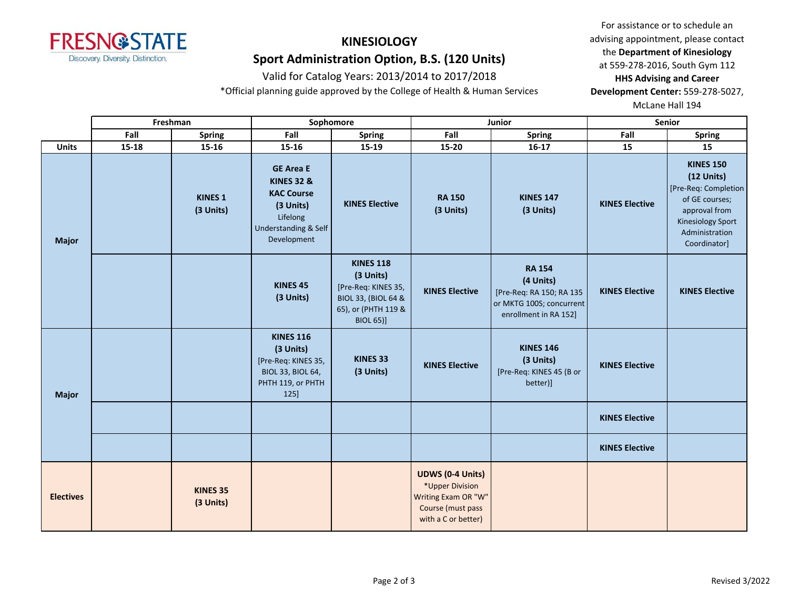

## Valid for Catalog Years: 2013/2014 to 2017/2018

\*Official planning guide approved by the College of Health & Human Services

For assistance or to schedule an advising appointment, please contact the **Department of Kinesiology** at 559-278-2016, South Gym 112 **HHS Advising and Career Development Center:** 559-278-5027,

|                  | Freshman |                              | Sophomore                                                                                                                                 |                                                                                                                                   | Junior                                                                                                        |                                                                                                             | <b>Senior</b>         |                                                                                                                                                           |
|------------------|----------|------------------------------|-------------------------------------------------------------------------------------------------------------------------------------------|-----------------------------------------------------------------------------------------------------------------------------------|---------------------------------------------------------------------------------------------------------------|-------------------------------------------------------------------------------------------------------------|-----------------------|-----------------------------------------------------------------------------------------------------------------------------------------------------------|
|                  | Fall     | <b>Spring</b>                | Fall                                                                                                                                      | Spring                                                                                                                            | Fall                                                                                                          | Spring                                                                                                      | Fall                  | <b>Spring</b>                                                                                                                                             |
| <b>Units</b>     | 15-18    | $15 - 16$                    | 15-16                                                                                                                                     | 15-19                                                                                                                             | $15 - 20$                                                                                                     | $16-17$                                                                                                     | 15                    | 15                                                                                                                                                        |
| <b>Major</b>     |          | <b>KINES 1</b><br>(3 Units)  | <b>GE Area E</b><br><b>KINES 32 &amp;</b><br><b>KAC Course</b><br>(3 Units)<br>Lifelong<br><b>Understanding &amp; Self</b><br>Development | <b>KINES Elective</b>                                                                                                             | <b>RA 150</b><br>(3 Units)                                                                                    | <b>KINES 147</b><br>(3 Units)                                                                               | <b>KINES Elective</b> | <b>KINES 150</b><br>$(12$ Units)<br>[Pre-Req: Completion<br>of GE courses;<br>approval from<br><b>Kinesiology Sport</b><br>Administration<br>Coordinator] |
|                  |          |                              | KINES <sub>45</sub><br>(3 Units)                                                                                                          | <b>KINES 118</b><br>(3 Units)<br>[Pre-Req: KINES 35,<br><b>BIOL 33, (BIOL 64 &amp;</b><br>65), or (PHTH 119 &<br><b>BIOL 65)]</b> | <b>KINES Elective</b>                                                                                         | <b>RA 154</b><br>(4 Units)<br>[Pre-Req: RA 150; RA 135<br>or MKTG 100S; concurrent<br>enrollment in RA 152] | <b>KINES Elective</b> | <b>KINES Elective</b>                                                                                                                                     |
| <b>Major</b>     |          |                              | <b>KINES 116</b><br>(3 Units)<br>[Pre-Req: KINES 35,<br>BIOL 33, BIOL 64,<br>PHTH 119, or PHTH<br>125]                                    | KINES 33<br>(3 Units)                                                                                                             | <b>KINES Elective</b>                                                                                         | <b>KINES 146</b><br>(3 Units)<br>[Pre-Req: KINES 45 (B or<br>better)]                                       | <b>KINES Elective</b> |                                                                                                                                                           |
|                  |          |                              |                                                                                                                                           |                                                                                                                                   |                                                                                                               |                                                                                                             | <b>KINES Elective</b> |                                                                                                                                                           |
|                  |          |                              |                                                                                                                                           |                                                                                                                                   |                                                                                                               |                                                                                                             | <b>KINES Elective</b> |                                                                                                                                                           |
| <b>Electives</b> |          | <b>KINES 35</b><br>(3 Units) |                                                                                                                                           |                                                                                                                                   | <b>UDWS (0-4 Units)</b><br>*Upper Division<br>Writing Exam OR "W"<br>Course (must pass<br>with a C or better) |                                                                                                             |                       |                                                                                                                                                           |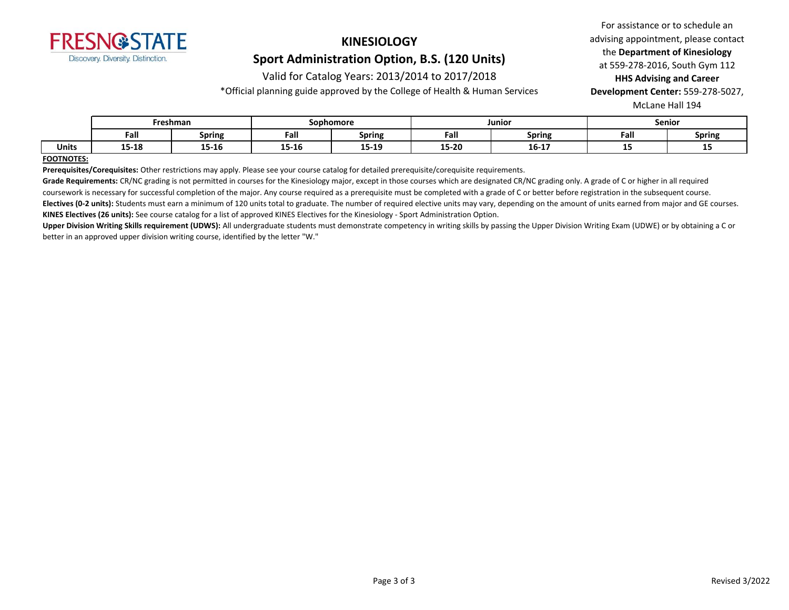

### Valid for Catalog Years: 2013/2014 to 2017/2018

\*Official planning guide approved by the College of Health & Human Services

For assistance or to schedule an advising appointment, please contact the **Department of Kinesiology** at 559-278-2016, South Gym 112 **HHS Advising and Career Development Center:** 559-278-5027,

McLane Hall 194

|              | Freshman |               | Sophomore  |                       | Junior |               | Senior |               |
|--------------|----------|---------------|------------|-----------------------|--------|---------------|--------|---------------|
|              | Fall     | <b>Spring</b> | Fall       | <b>Spring</b>         | Fall   | <b>Spring</b> | Fall   | <b>Spring</b> |
| <b>Units</b> | 15-18    | .<br>15-10    | .<br>19-TO | <b>15.10</b><br>13-19 | 15-20  | $16 - 17$     | --     | --            |

#### **FOOTNOTES:**

**Prerequisites/Corequisites:** Other restrictions may apply. Please see your course catalog for detailed prerequisite/corequisite requirements.

Grade Requirements: CR/NC grading is not permitted in courses for the Kinesiology major, except in those courses which are designated CR/NC grading only. A grade of C or higher in all required coursework is necessary for successful completion of the major. Any course required as a prerequisite must be completed with a grade of C or better before registration in the subsequent course. Electives (0-2 units): Students must earn a minimum of 120 units total to graduate. The number of required elective units may vary, depending on the amount of units earned from major and GE courses. **KINES Electives (26 units):** See course catalog for a list of approved KINES Electives for the Kinesiology - Sport Administration Option.

**Upper Division Writing Skills requirement (UDWS):** All undergraduate students must demonstrate competency in writing skills by passing the Upper Division Writing Exam (UDWE) or by obtaining a C or better in an approved upper division writing course, identified by the letter "W."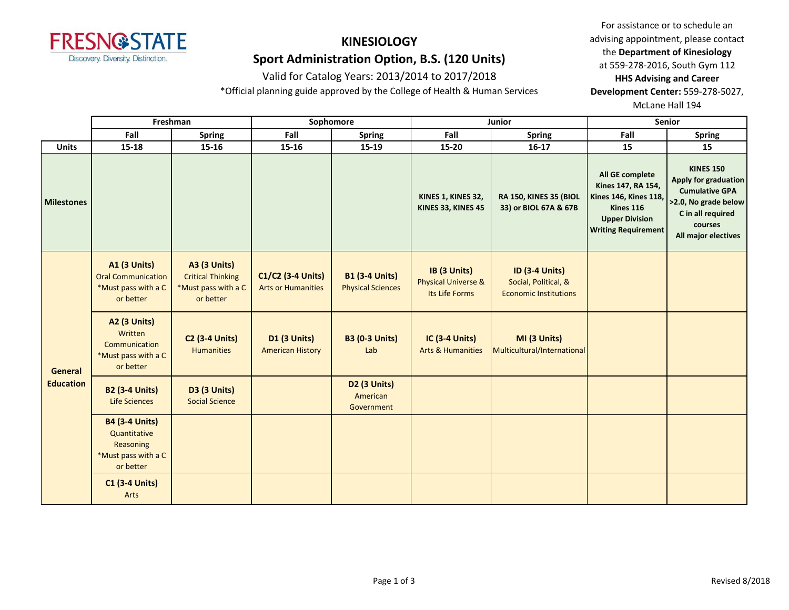

### Valid for Catalog Years: 2013/2014 to 2017/2018

\*Official planning guide approved by the College of Health & Human Services

For assistance or to schedule an advising appointment, please contact the **Department of Kinesiology** at 559-278-2016, South Gym 112 **HHS Advising and Career Development Center:** 559-278-5027,

|                                    | Freshman                                                                               |                                                                                     | Sophomore                                      |                                                    | Junior                                                           |                                                                               | <b>Senior</b>                                                                                                                                           |                                                                                                                                                  |
|------------------------------------|----------------------------------------------------------------------------------------|-------------------------------------------------------------------------------------|------------------------------------------------|----------------------------------------------------|------------------------------------------------------------------|-------------------------------------------------------------------------------|---------------------------------------------------------------------------------------------------------------------------------------------------------|--------------------------------------------------------------------------------------------------------------------------------------------------|
|                                    | Fall                                                                                   | <b>Spring</b>                                                                       | Fall                                           | <b>Spring</b>                                      | Fall                                                             | Spring                                                                        | Fall                                                                                                                                                    | <b>Spring</b>                                                                                                                                    |
| <b>Units</b>                       | 15-18                                                                                  | 15-16                                                                               | 15-16                                          | 15-19                                              | 15-20                                                            | $16 - 17$                                                                     | 15                                                                                                                                                      | 15                                                                                                                                               |
| <b>Milestones</b>                  |                                                                                        |                                                                                     |                                                |                                                    | KINES 1, KINES 32,<br>KINES 33, KINES 45                         | RA 150, KINES 35 (BIOL<br>33) or BIOL 67A & 67B                               | <b>All GE complete</b><br>Kines 147, RA 154,<br><b>Kines 146, Kines 118,</b><br><b>Kines 116</b><br><b>Upper Division</b><br><b>Writing Requirement</b> | <b>KINES 150</b><br>Apply for graduation<br><b>Cumulative GPA</b><br>>2.0, No grade below<br>C in all required<br>courses<br>All major electives |
| <b>General</b><br><b>Education</b> | <b>A1 (3 Units)</b><br><b>Oral Communication</b><br>*Must pass with a C<br>or better   | <b>A3 (3 Units)</b><br><b>Critical Thinking</b><br>*Must pass with a C<br>or better | C1/C2 (3-4 Units)<br><b>Arts or Humanities</b> | <b>B1 (3-4 Units)</b><br><b>Physical Sciences</b>  | IB (3 Units)<br><b>Physical Universe &amp;</b><br>Its Life Forms | <b>ID (3-4 Units)</b><br>Social, Political, &<br><b>Economic Institutions</b> |                                                                                                                                                         |                                                                                                                                                  |
|                                    | A2 (3 Units)<br>Written<br>Communication<br>*Must pass with a C<br>or better           | <b>C2 (3-4 Units)</b><br><b>Humanities</b>                                          | <b>D1 (3 Units)</b><br><b>American History</b> | <b>B3 (0-3 Units)</b><br>Lab                       | <b>IC (3-4 Units)</b><br><b>Arts &amp; Humanities</b>            | MI (3 Units)<br>Multicultural/International                                   |                                                                                                                                                         |                                                                                                                                                  |
|                                    | <b>B2 (3-4 Units)</b><br><b>Life Sciences</b>                                          | <b>D3 (3 Units)</b><br><b>Social Science</b>                                        |                                                | D <sub>2</sub> (3 Units)<br>American<br>Government |                                                                  |                                                                               |                                                                                                                                                         |                                                                                                                                                  |
|                                    | <b>B4 (3-4 Units)</b><br>Quantitative<br>Reasoning<br>*Must pass with a C<br>or better |                                                                                     |                                                |                                                    |                                                                  |                                                                               |                                                                                                                                                         |                                                                                                                                                  |
|                                    | <b>C1 (3-4 Units)</b><br>Arts                                                          |                                                                                     |                                                |                                                    |                                                                  |                                                                               |                                                                                                                                                         |                                                                                                                                                  |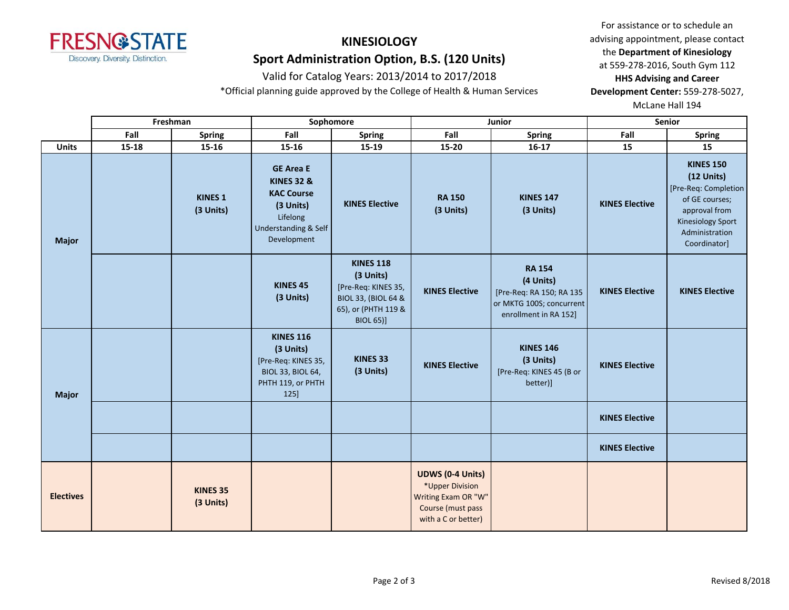

### Valid for Catalog Years: 2013/2014 to 2017/2018

\*Official planning guide approved by the College of Health & Human Services

For assistance or to schedule an advising appointment, please contact the **Department of Kinesiology** at 559-278-2016, South Gym 112 **HHS Advising and Career Development Center:** 559-278-5027,

|                  | Freshman |                             | Sophomore                                                                                                                                 |                                                                                                                                   | Junior                                                                                                        |                                                                                                             | <b>Senior</b>         |                                                                                                                                                           |
|------------------|----------|-----------------------------|-------------------------------------------------------------------------------------------------------------------------------------------|-----------------------------------------------------------------------------------------------------------------------------------|---------------------------------------------------------------------------------------------------------------|-------------------------------------------------------------------------------------------------------------|-----------------------|-----------------------------------------------------------------------------------------------------------------------------------------------------------|
|                  | Fall     | <b>Spring</b>               | Fall                                                                                                                                      | Spring                                                                                                                            | Fall                                                                                                          | Spring                                                                                                      | Fall                  | Spring                                                                                                                                                    |
| <b>Units</b>     | 15-18    | $15 - 16$                   | 15-16                                                                                                                                     | 15-19                                                                                                                             | 15-20                                                                                                         | $16 - 17$                                                                                                   | 15                    | 15                                                                                                                                                        |
| <b>Major</b>     |          | <b>KINES 1</b><br>(3 Units) | <b>GE Area E</b><br><b>KINES 32 &amp;</b><br><b>KAC Course</b><br>(3 Units)<br>Lifelong<br><b>Understanding &amp; Self</b><br>Development | <b>KINES Elective</b>                                                                                                             | <b>RA 150</b><br>(3 Units)                                                                                    | <b>KINES 147</b><br>(3 Units)                                                                               | <b>KINES Elective</b> | <b>KINES 150</b><br>$(12$ Units)<br>[Pre-Req: Completion<br>of GE courses;<br>approval from<br><b>Kinesiology Sport</b><br>Administration<br>Coordinator] |
|                  |          |                             | KINES <sub>45</sub><br>(3 Units)                                                                                                          | <b>KINES 118</b><br>(3 Units)<br>[Pre-Req: KINES 35,<br><b>BIOL 33, (BIOL 64 &amp;</b><br>65), or (PHTH 119 &<br><b>BIOL 65)]</b> | <b>KINES Elective</b>                                                                                         | <b>RA 154</b><br>(4 Units)<br>[Pre-Req: RA 150; RA 135<br>or MKTG 100S; concurrent<br>enrollment in RA 152] | <b>KINES Elective</b> | <b>KINES Elective</b>                                                                                                                                     |
| <b>Major</b>     |          |                             | <b>KINES 116</b><br>(3 Units)<br>[Pre-Req: KINES 35,<br>BIOL 33, BIOL 64,<br>PHTH 119, or PHTH<br>125]                                    | KINES 33<br>(3 Units)                                                                                                             | <b>KINES Elective</b>                                                                                         | <b>KINES 146</b><br>(3 Units)<br>[Pre-Req: KINES 45 (B or<br>better)]                                       | <b>KINES Elective</b> |                                                                                                                                                           |
|                  |          |                             |                                                                                                                                           |                                                                                                                                   |                                                                                                               |                                                                                                             | <b>KINES Elective</b> |                                                                                                                                                           |
|                  |          |                             |                                                                                                                                           |                                                                                                                                   |                                                                                                               |                                                                                                             | <b>KINES Elective</b> |                                                                                                                                                           |
| <b>Electives</b> |          | KINES 35<br>(3 Units)       |                                                                                                                                           |                                                                                                                                   | <b>UDWS (0-4 Units)</b><br>*Upper Division<br>Writing Exam OR "W"<br>Course (must pass<br>with a C or better) |                                                                                                             |                       |                                                                                                                                                           |